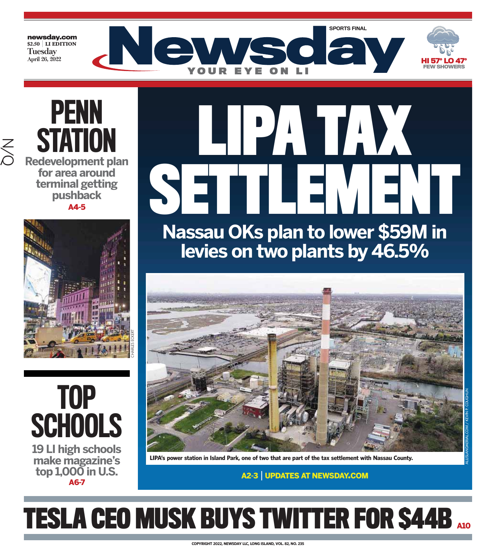**newsday.com \$2.50** | **LI EDITION Tuesday April 26, 2022**





**STATION Redevelopment plan for area around terminal getting pushback** A4-5

PENN



TOP **SCHOOLS** 

**19 LI high schools make magazine's top 1,000 in U.S.** A6-7

**Nassau OKs plan to lower \$59M in LIPA TAX** SETTLEMENT

**levies on two plants by 46.5%**



**LIPA's power station in Island Park, one of two that are part of the tax settlement with Nassau County.**

A2-3 | UPDATES AT NEWSDAY.COM

ALLISLANDAERIAL.COM / KEVIN P. COUGHLIN

# **TESLA CEO MUSK BUYS TWITTER FOR \$44B A10**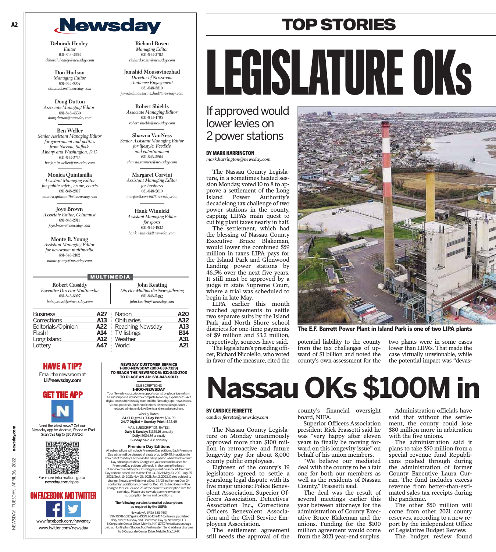## **Newsday**

**Deborah Henley** *Editor* 631-843-3663 *deborah.henley@newsday.com*

**Don Hudson** *Managing Editor* 631-843-3037 *don.hudson@newsday.com*

**Doug Dutton** *Associate Managing Editor* 631-843-4650 *doug.dutton@newsday.com*

**Ben Weller** *Senior Assistant Managing Editor for government and politics from Nassau, Suffolk, Albany and Washington, D.C.* 631-843-2715 *benjamin.weller@newsday.com*

**Monica Quintanilla** *Assistant Managing Editor for public safety, crime, courts* 631-843-2917 *monica.quintanilla@newsday.com*

**Joye Brown** *Associate Editor, Columnist* 631-843-2911 *joye.brown@newsday.com*

**Monte R. Young** *Assistant Managing Editor for newsroom multimedia* 631-843-2102 *monte.young@newsday.com*

**Robert Cassid** *Executive Director Multi* 631-843-3027  $bobby.cassidy@newsda$ 

**Business** Corrections Editorials/Opinion **A**<br>Flash! **Flash!** Long Island **A** Lottery

**HAVE A TIP?**

Email the newsroom at **LI@newsday.com**



Need the latest news? Get our Newsday app for Android, iPhone or iPad. Scan this tag to get started.



For more information, go to newsday.com/apps

NEWSDAY, TUESDAY, APRIL 26, 2022 **newsday.com**

TUESDAY, APRIL 26,

**JEWSDAY,** 

2022

newsday.com



**Richard Rosen** *Managing Editor* 631-843-3702 *richard.rosen@newsday.com*

**Jamshid Mousavinezhad** *Director of Newsroom Audience Engagement* 631-843-3310 *jamshid.mousavinezhad@newsday.com*

**Robert Shields** *Associate Managing Editor* 631-843-4795 *robert.shields@newsday.com*

**Shawna VanNess** *Senior Assistant Managing Editor for lifestyle, FeedMe and entertainment* 631-843-3264 *shawna.vanness@newsday.com*

> **Margaret Corvini** *Assistant Managing Editor for business* 631-843-2619 *margaret.corvini@newsday.com*

**Hank Winnicki** *Assistant Managing Editor for sports* 631-843-4832 *hank.winnicki@newsday.com*

#### **MULTIMEDIA**

|         | <b>John Keating</b>               |
|---------|-----------------------------------|
| timedia | Director Multimedia Newsgathering |
|         | 631-843-5482                      |
| .com    | john.keating@newsday.com          |
|         | $\wedge$ 27 : Notion              |

| 27 | Nation           | A20        |
|----|------------------|------------|
| 13 | Obituaries       | A32        |
| 22 | Reaching Newsday | A13        |
| 14 | TV listings      | <b>B14</b> |
| 12 | Weather          | A31        |
| 47 | World            | A21        |
|    |                  |            |

NEWSDAY CUSTOMER SERVICE 1-800-NEWSDAY (800-639-7329) TO REACH THE NEWSROOM: 631-843-2700 TO PLACE AN AD: 631-843-SOLD **SUBSCRIPTIONS** 

1-800-NEWSDAY

Your Newsday subscription supports our strong local journalism.<br>All subscriptions include the complete Newsday Experience: 24/7<br>digital access to Newsday.com and the Newsday app, newsletters,<br>videos, podcasts, push notific

Weekly Rates:<br>**24/7 Digital + 7-Day Print:** \$34.99<br>2**4/7 Digital + Sunday Print:** \$22.49 MAIL SUBSCRIPTION RATES:

**Daily & Sunday:** \$1525.16 annually **Daily:** \$984.36 annually **Sunday:** \$626.08 annually

**Premium Day Editions**

All subscriptions will include Premium Day editions. Each Premium Inputed Day edition will be charged at a rate of up to \$9.49, in addition to the cost of that day's edition in the billing period when that Premium Day edi

subscription terms and conditions.

#### **The following pertains to mailed subscriptions as required by the USPS:** Newsday (USPS# 388-760)

ISSN 0278-5587 (print) ISSN 2643-9417 (online) is published<br>daily except Sunday and Christmas Day by Newsday LLC,<br>6 Corporate Center Drive, Melville, N.Y. 11747. Periodicals postage<br>paid at Huntington Station, N.Y. Postmas to 6 Corporate Center Drive, Melville, N.Y. 11747.

# LEGISLATURE OKs

**TOP STORIES**

### If approved would lower levies on 2 power stations

#### **BY MARK HARRINGTON**

*mark.harrington@newsday.com*

The Nassau County Legislature, in a sometimes heated session Monday, voted 10 to 8 to approve a settlement of the Long Island Power Authority's decadelong tax challenge of two power stations in the county, capping LIPA's main quest to cut big plant taxes nearly in half.

The settlement, which had the blessing of Nassau County Executive Bruce Blakeman, would lower the combined \$59 million in taxes LIPA pays for the Island Park and Glenwood Landing power stations by 46.5% over the next five years. It still must be approved by a judge in state Supreme Court, where a trial was scheduled to begin in late May.

LIPA earlier this month reached agreements to settle two separate suits by the Island Park and North Shore school districts for one-time payments of \$9 million and \$3.2 million, respectively, sources have said.

The legislature's presiding officer, Richard Nicolello, who voted in favor of the measure, cited the



**The E.F. Barrett Power Plant in Island Park is one of two LIPA plants**

potential liability to the county from the tax challenges of upward of \$1 billion and noted the county's own assessment for the

two plants were in some cases lower than LIPA's. That made the case virtually unwinnable, while the potential impact was "devas-

## **Nassau OKs \$100M in**

#### **BY CANDICE FERRETTE**

*candice.ferrette@newsday.com*

The Nassau County Legislature on Monday unanimously approved more than \$100 million in retroactive and future longevity pay for about 8,000 county public employees.

Eighteen of the county's 19 legislators agreed to settle a yearslong legal dispute with its five major unions: Police Benevolent Association, Superior Officers Association, Detectives' Association Inc., Corrections Officers Benevolent Association and the Civil Service Employees Association.

The settlement agreement still needs the approval of the

county's financial oversight board, NIFA.

Superior Officers Association president Rick Frassetti said he was "very happy after eleven years to finally be moving forward on this longevity issue" on behalf of his union members.

"We believe our mediated deal with the county to be a fair one for both our members as well as the residents of Nassau County," Frassetti said.

The deal was the result of several meetings earlier this year between attorneys for the administration of County Executive Bruce Blakeman and the unions. Funding for the \$100 million agreement would come from the 2021 year-end surplus.

Administration officials have said that without the settlement, the county could lose \$80 million more in arbitration with the five unions.

The administration said it plans to take \$50 million from a special revenue fund Republicans pushed through during the administration of former County Executive Laura Curran. The fund includes excess revenue from better-than-estimated sales tax receipts during the pandemic.

The other \$50 million will come from other 2021 county reserves, according to a new report by the independent Office of Legislative Budget Review.

The budget review found